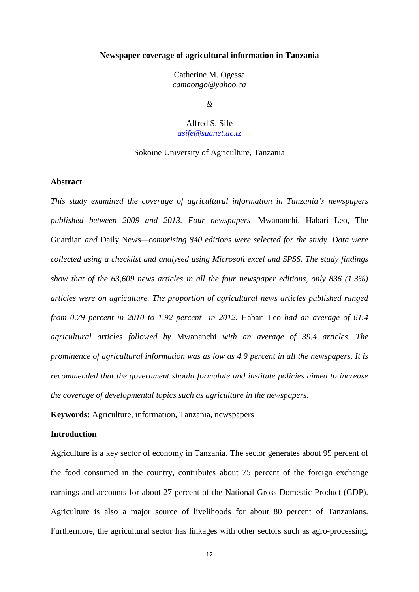### **Newspaper coverage of agricultural information in Tanzania**

Catherine M. Ogessa *camaongo@yahoo.ca*

*&*

Alfred S. Sife *[asife@suanet.ac.tz](mailto:asife@suanet.ac.tz)*

### Sokoine University of Agriculture, Tanzania

### **Abstract**

*This study examined the coverage of agricultural information in Tanzania's newspapers published between 2009 and 2013. Four newspapers—*Mwananchi*,* Habari Leo*,* The Guardian *and* Daily News*—comprising 840 editions were selected for the study. Data were collected using a checklist and analysed using Microsoft excel and SPSS. The study findings show that of the 63,609 news articles in all the four newspaper editions, only 836 (1.3%) articles were on agriculture. The proportion of agricultural news articles published ranged from 0.79 percent in 2010 to 1.92 percent in 2012.* Habari Leo *had an average of 61.4 agricultural articles followed by* Mwananchi *with an average of 39.4 articles. The prominence of agricultural information was as low as 4.9 percent in all the newspapers. It is recommended that the government should formulate and institute policies aimed to increase the coverage of developmental topics such as agriculture in the newspapers.*

**Keywords:** Agriculture, information, Tanzania, newspapers

# **Introduction**

Agriculture is a key sector of economy in Tanzania. The sector generates about 95 percent of the food consumed in the country, contributes about 75 percent of the foreign exchange earnings and accounts for about 27 percent of the National Gross Domestic Product (GDP). Agriculture is also a major source of livelihoods for about 80 percent of Tanzanians. Furthermore, the agricultural sector has linkages with other sectors such as agro-processing,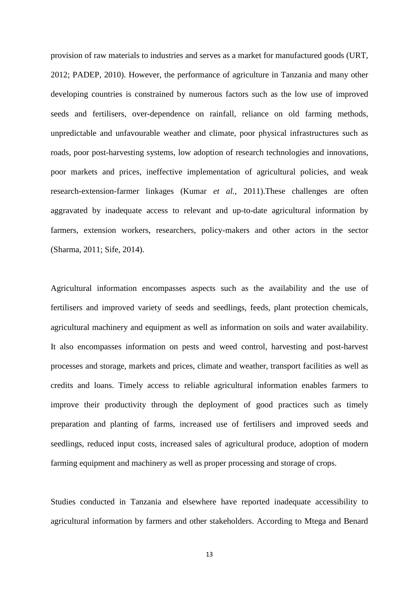provision of raw materials to industries and serves as a market for manufactured goods (URT, 2012; PADEP, 2010). However, the performance of agriculture in Tanzania and many other developing countries is constrained by numerous factors such as the low use of improved seeds and fertilisers, over-dependence on rainfall, reliance on old farming methods, unpredictable and unfavourable weather and climate, poor physical infrastructures such as roads, poor post-harvesting systems, low adoption of research technologies and innovations, poor markets and prices, ineffective implementation of agricultural policies, and weak research-extension-farmer linkages (Kumar *et al.,* 2011).These challenges are often aggravated by inadequate access to relevant and up-to-date agricultural information by farmers, extension workers, researchers, policy-makers and other actors in the sector (Sharma, 2011; Sife, 2014).

Agricultural information encompasses aspects such as the availability and the use of fertilisers and improved variety of seeds and seedlings, feeds, plant protection chemicals, agricultural machinery and equipment as well as information on soils and water availability. It also encompasses information on pests and weed control, harvesting and post-harvest processes and storage, markets and prices, climate and weather, transport facilities as well as credits and loans. Timely access to reliable agricultural information enables farmers to improve their productivity through the deployment of good practices such as timely preparation and planting of farms, increased use of fertilisers and improved seeds and seedlings, reduced input costs, increased sales of agricultural produce, adoption of modern farming equipment and machinery as well as proper processing and storage of crops.

Studies conducted in Tanzania and elsewhere have reported inadequate accessibility to agricultural information by farmers and other stakeholders. According to Mtega and Benard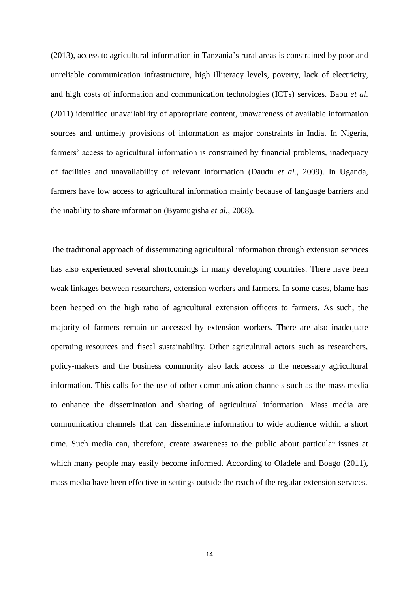(2013), access to agricultural information in Tanzania"s rural areas is constrained by poor and unreliable communication infrastructure, high illiteracy levels, poverty, lack of electricity, and high costs of information and communication technologies (ICTs) services. Babu *et al*. (2011) identified unavailability of appropriate content, unawareness of available information sources and untimely provisions of information as major constraints in India. In Nigeria, farmers' access to agricultural information is constrained by financial problems, inadequacy of facilities and unavailability of relevant information (Daudu *et al.*, 2009). In Uganda, farmers have low access to agricultural information mainly because of language barriers and the inability to share information (Byamugisha *et al.*, 2008).

The traditional approach of disseminating agricultural information through extension services has also experienced several shortcomings in many developing countries. There have been weak linkages between researchers, extension workers and farmers. In some cases, blame has been heaped on the high ratio of agricultural extension officers to farmers. As such, the majority of farmers remain un-accessed by extension workers. There are also inadequate operating resources and fiscal sustainability. Other agricultural actors such as researchers, policy-makers and the business community also lack access to the necessary agricultural information. This calls for the use of other communication channels such as the mass media to enhance the dissemination and sharing of agricultural information. Mass media are communication channels that can disseminate information to wide audience within a short time. Such media can, therefore, create awareness to the public about particular issues at which many people may easily become informed. According to Oladele and Boago (2011), mass media have been effective in settings outside the reach of the regular extension services.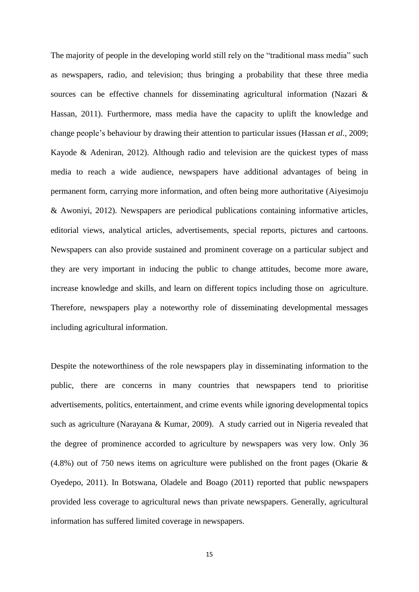The majority of people in the developing world still rely on the "traditional mass media" such as newspapers, radio, and television; thus bringing a probability that these three media sources can be effective channels for disseminating agricultural information (Nazari & Hassan, 2011). Furthermore, mass media have the capacity to uplift the knowledge and change people"s behaviour by drawing their attention to particular issues (Hassan *et al.,* 2009; Kayode & Adeniran, 2012). Although radio and television are the quickest types of mass media to reach a wide audience, newspapers have additional advantages of being in permanent form, carrying more information, and often being more authoritative (Aiyesimoju & Awoniyi, 2012). Newspapers are periodical publications containing informative articles, editorial views, analytical articles, advertisements, special reports, pictures and cartoons. Newspapers can also provide sustained and prominent coverage on a particular subject and they are very important in inducing the public to change attitudes, become more aware, increase knowledge and skills, and learn on different topics including those on agriculture. Therefore, newspapers play a noteworthy role of disseminating developmental messages including agricultural information.

Despite the noteworthiness of the role newspapers play in disseminating information to the public, there are concerns in many countries that newspapers tend to prioritise advertisements, politics, entertainment, and crime events while ignoring developmental topics such as agriculture (Narayana & Kumar*,* 2009). A study carried out in Nigeria revealed that the degree of prominence accorded to agriculture by newspapers was very low. Only 36 (4.8%) out of 750 news items on agriculture were published on the front pages (Okarie & Oyedepo, 2011). In Botswana, Oladele and Boago (2011) reported that public newspapers provided less coverage to agricultural news than private newspapers. Generally, agricultural information has suffered limited coverage in newspapers.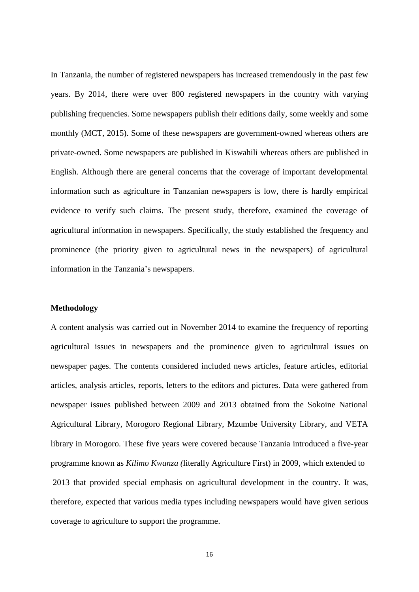In Tanzania, the number of registered newspapers has increased tremendously in the past few years. By 2014, there were over 800 registered newspapers in the country with varying publishing frequencies. Some newspapers publish their editions daily, some weekly and some monthly (MCT, 2015). Some of these newspapers are government-owned whereas others are private-owned. Some newspapers are published in Kiswahili whereas others are published in English. Although there are general concerns that the coverage of important developmental information such as agriculture in Tanzanian newspapers is low, there is hardly empirical evidence to verify such claims. The present study, therefore, examined the coverage of agricultural information in newspapers. Specifically, the study established the frequency and prominence (the priority given to agricultural news in the newspapers) of agricultural information in the Tanzania's newspapers.

#### **Methodology**

A content analysis was carried out in November 2014 to examine the frequency of reporting agricultural issues in newspapers and the prominence given to agricultural issues on newspaper pages. The contents considered included news articles, feature articles, editorial articles, analysis articles, reports, letters to the editors and pictures. Data were gathered from newspaper issues published between 2009 and 2013 obtained from the Sokoine National Agricultural Library, Morogoro Regional Library, Mzumbe University Library, and VETA library in Morogoro. These five years were covered because Tanzania introduced a five-year programme known as *Kilimo Kwanza (*literally Agriculture First) in 2009, which extended to 2013 that provided special emphasis on agricultural development in the country. It was, therefore, expected that various media types including newspapers would have given serious coverage to agriculture to support the programme.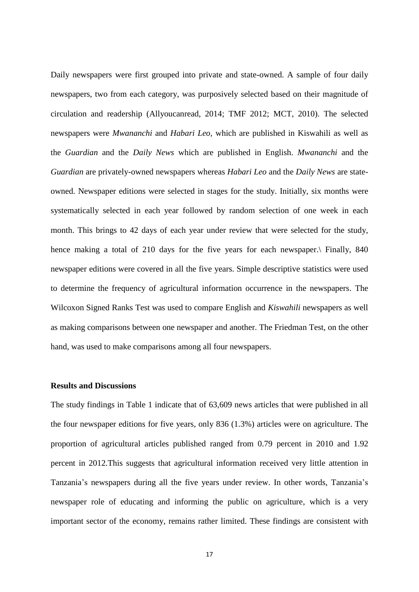Daily newspapers were first grouped into private and state-owned. A sample of four daily newspapers, two from each category, was purposively selected based on their magnitude of circulation and readership (Allyoucanread, 2014; TMF 2012; MCT, 2010). The selected newspapers were *Mwananchi* and *Habari Leo,* which are published in Kiswahili as well as the *Guardian* and the *Daily News* which are published in English. *Mwananchi* and the *Guardian* are privately-owned newspapers whereas *Habari Leo* and the *Daily News* are stateowned. Newspaper editions were selected in stages for the study. Initially, six months were systematically selected in each year followed by random selection of one week in each month. This brings to 42 days of each year under review that were selected for the study, hence making a total of 210 days for the five years for each newspaper. Finally, 840 newspaper editions were covered in all the five years. Simple descriptive statistics were used to determine the frequency of agricultural information occurrence in the newspapers. The Wilcoxon Signed Ranks Test was used to compare English and *Kiswahili* newspapers as well as making comparisons between one newspaper and another. The Friedman Test, on the other hand, was used to make comparisons among all four newspapers.

# **Results and Discussions**

The study findings in Table 1 indicate that of 63,609 news articles that were published in all the four newspaper editions for five years, only 836 (1.3%) articles were on agriculture. The proportion of agricultural articles published ranged from 0.79 percent in 2010 and 1.92 percent in 2012.This suggests that agricultural information received very little attention in Tanzania's newspapers during all the five years under review. In other words, Tanzania's newspaper role of educating and informing the public on agriculture, which is a very important sector of the economy, remains rather limited. These findings are consistent with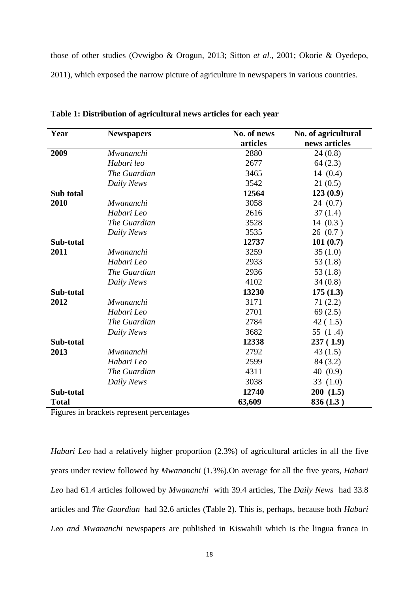those of other studies (Ovwigbo & Orogun, 2013; Sitton *et al.,* 2001; Okorie & Oyedepo, 2011), which exposed the narrow picture of agriculture in newspapers in various countries.

| Year         | <b>Newspapers</b> | No. of news | No. of agricultural |
|--------------|-------------------|-------------|---------------------|
|              |                   | articles    | news articles       |
| 2009         | Mwananchi         | 2880        | 24(0.8)             |
|              | Habari leo        | 2677        | 64(2.3)             |
|              | The Guardian      | 3465        | 14(0.4)             |
|              | Daily News        | 3542        | 21(0.5)             |
| Sub total    |                   | 12564       | 123(0.9)            |
| 2010         | Mwananchi         | 3058        | 24(0.7)             |
|              | Habari Leo        | 2616        | 37(1.4)             |
|              | The Guardian      | 3528        | 14(0.3)             |
|              | Daily News        | 3535        | 26(0.7)             |
| Sub-total    |                   | 12737       | 101(0.7)            |
| 2011         | Mwananchi         | 3259        | 35(1.0)             |
|              | Habari Leo        | 2933        | 53 $(1.8)$          |
|              | The Guardian      | 2936        | 53 $(1.8)$          |
|              | Daily News        | 4102        | 34(0.8)             |
| Sub-total    |                   | 13230       | 175(1.3)            |
| 2012         | Mwananchi         | 3171        | 71(2.2)             |
|              | Habari Leo        | 2701        | 69(2.5)             |
|              | The Guardian      | 2784        | 42(1.5)             |
|              | Daily News        | 3682        | 55 $(1.4)$          |
| Sub-total    |                   | 12338       | 237(1.9)            |
| 2013         | Mwananchi         | 2792        | 43(1.5)             |
|              | Habari Leo        | 2599        | 84 (3.2)            |
|              | The Guardian      | 4311        | 40 $(0.9)$          |
|              | Daily News        | 3038        | 33 $(1.0)$          |
| Sub-total    |                   | 12740       | 200(1.5)            |
| <b>Total</b> |                   | 63,609      | 836(1.3)            |

**Table 1: Distribution of agricultural news articles for each year**

Figures in brackets represent percentages

*Habari Leo* had a relatively higher proportion (2.3%) of agricultural articles in all the five years under review followed by *Mwananchi* (1.3%)*.*On average for all the five years, *Habari Leo* had 61.4 articles followed by *Mwananchi* with 39.4 articles, The *Daily News* had 33.8 articles and *The Guardian* had 32.6 articles (Table 2). This is, perhaps, because both *Habari Leo and Mwananchi* newspapers are published in Kiswahili which is the lingua franca in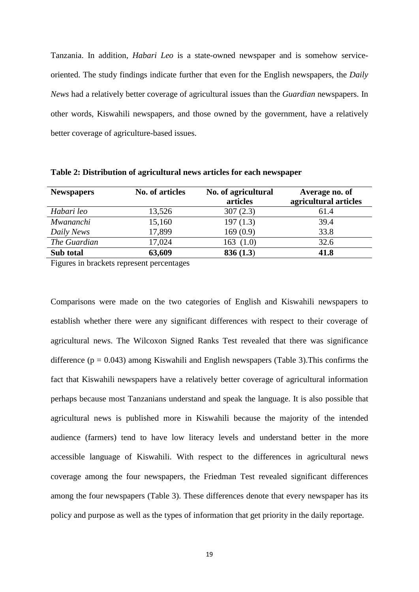Tanzania. In addition, *Habari Leo* is a state-owned newspaper and is somehow serviceoriented. The study findings indicate further that even for the English newspapers, the *Daily News* had a relatively better coverage of agricultural issues than the *Guardian* newspapers. In other words, Kiswahili newspapers, and those owned by the government, have a relatively better coverage of agriculture-based issues.

| <b>Newspapers</b> | No. of articles | No. of agricultural<br>articles | Average no. of<br>agricultural articles |
|-------------------|-----------------|---------------------------------|-----------------------------------------|
| Habari leo        | 13,526          | 307(2.3)                        | 61.4                                    |
| Mwananchi         | 15,160          | 197(1.3)                        | 39.4                                    |
| Daily News        | 17,899          | 169(0.9)                        | 33.8                                    |
| The Guardian      | 17,024          | 163(1.0)                        | 32.6                                    |
| Sub total         | 63,609          | 836(1.3)                        | 41.8                                    |

**Table 2: Distribution of agricultural news articles for each newspaper**

Figures in brackets represent percentages

Comparisons were made on the two categories of English and Kiswahili newspapers to establish whether there were any significant differences with respect to their coverage of agricultural news. The Wilcoxon Signed Ranks Test revealed that there was significance difference ( $p = 0.043$ ) among Kiswahili and English newspapers (Table 3). This confirms the fact that Kiswahili newspapers have a relatively better coverage of agricultural information perhaps because most Tanzanians understand and speak the language. It is also possible that agricultural news is published more in Kiswahili because the majority of the intended audience (farmers) tend to have low literacy levels and understand better in the more accessible language of Kiswahili. With respect to the differences in agricultural news coverage among the four newspapers, the Friedman Test revealed significant differences among the four newspapers (Table 3). These differences denote that every newspaper has its policy and purpose as well as the types of information that get priority in the daily reportage.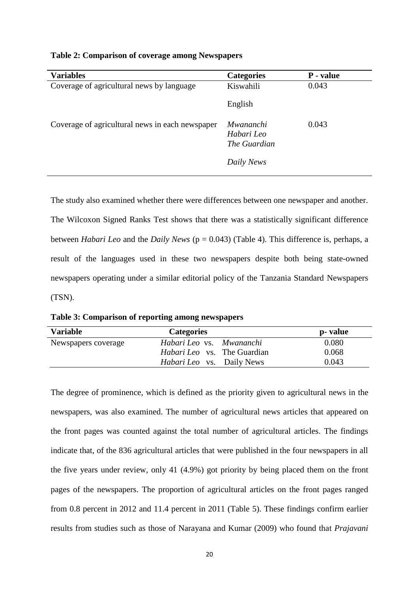| <b>Variables</b>                                | <b>Categories</b>                                     | P - value |
|-------------------------------------------------|-------------------------------------------------------|-----------|
| Coverage of agricultural news by language       | Kiswahili                                             | 0.043     |
|                                                 | English                                               |           |
| Coverage of agricultural news in each newspaper | Mwananchi<br>Habari Leo<br>The Guardian<br>Daily News | 0.043     |

**Table 2: Comparison of coverage among Newspapers**

The study also examined whether there were differences between one newspaper and another. The Wilcoxon Signed Ranks Test shows that there was a statistically significant difference between *Habari Leo* and the *Daily News* (p = 0.043) (Table 4). This difference is, perhaps, a result of the languages used in these two newspapers despite both being state-owned newspapers operating under a similar editorial policy of the Tanzania Standard Newspapers (TSN).

**Table 3: Comparison of reporting among newspapers**

| <b>Variable</b>     | <b>Categories</b>                  | p- value |
|---------------------|------------------------------------|----------|
| Newspapers coverage | Habari Leo vs. Mwananchi           | 0.080    |
|                     | <i>Habari Leo</i> vs. The Guardian | 0.068    |
|                     | <i>Habari Leo</i> vs. Daily News   | 0.043    |

The degree of prominence, which is defined as the priority given to agricultural news in the newspapers, was also examined. The number of agricultural news articles that appeared on the front pages was counted against the total number of agricultural articles. The findings indicate that, of the 836 agricultural articles that were published in the four newspapers in all the five years under review, only 41 (4.9%) got priority by being placed them on the front pages of the newspapers. The proportion of agricultural articles on the front pages ranged from 0.8 percent in 2012 and 11.4 percent in 2011 (Table 5). These findings confirm earlier results from studies such as those of Narayana and Kumar (2009) who found that *Prajavani*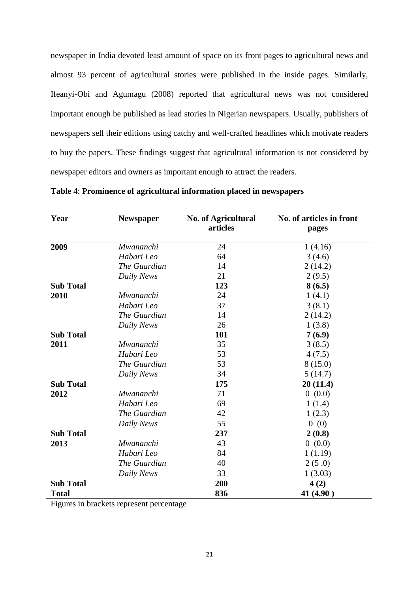newspaper in India devoted least amount of space on its front pages to agricultural news and almost 93 percent of agricultural stories were published in the inside pages. Similarly, Ifeanyi-Obi and Agumagu (2008) reported that agricultural news was not considered important enough be published as lead stories in Nigerian newspapers. Usually, publishers of newspapers sell their editions using catchy and well-crafted headlines which motivate readers to buy the papers. These findings suggest that agricultural information is not considered by newspaper editors and owners as important enough to attract the readers.

| Year             | <b>Newspaper</b> | <b>No. of Agricultural</b><br>articles | No. of articles in front<br>pages |
|------------------|------------------|----------------------------------------|-----------------------------------|
| 2009             | <b>Mwananchi</b> | 24                                     | 1(4.16)                           |
|                  | Habari Leo       | 64                                     | 3(4.6)                            |
|                  | The Guardian     | 14                                     | 2(14.2)                           |
|                  | Daily News       | 21                                     | 2(9.5)                            |
| <b>Sub Total</b> |                  | 123                                    | 8(6.5)                            |
| 2010             | Mwananchi        | 24                                     | 1(4.1)                            |
|                  | Habari Leo       | 37                                     | 3(8.1)                            |
|                  | The Guardian     | 14                                     | 2(14.2)                           |
|                  | Daily News       | 26                                     | 1(3.8)                            |
| <b>Sub Total</b> |                  | 101                                    | 7(6.9)                            |
| 2011             | Mwananchi        | 35                                     | 3(8.5)                            |
|                  | Habari Leo       | 53                                     | 4(7.5)                            |
|                  | The Guardian     | 53                                     | 8(15.0)                           |
|                  | Daily News       | 34                                     | 5(14.7)                           |
| <b>Sub Total</b> |                  | 175                                    | 20(11.4)                          |
| 2012             | Mwananchi        | 71                                     | 0(0.0)                            |
|                  | Habari Leo       | 69                                     | 1(1.4)                            |
|                  | The Guardian     | 42                                     | 1(2.3)                            |
|                  | Daily News       | 55                                     | 0(0)                              |
| <b>Sub Total</b> |                  | 237                                    | 2(0.8)                            |
| 2013             | Mwananchi        | 43                                     | 0(0.0)                            |
|                  | Habari Leo       | 84                                     | 1(1.19)                           |
|                  | The Guardian     | 40                                     | 2(5.0)                            |
|                  | Daily News       | 33                                     | 1(3.03)                           |
| <b>Sub Total</b> |                  | 200                                    | 4(2)                              |
| <b>Total</b>     |                  | 836                                    | 41 (4.90)                         |

| Table 4: Prominence of agricultural information placed in newspapers |  |  |
|----------------------------------------------------------------------|--|--|
|                                                                      |  |  |

Figures in brackets represent percentage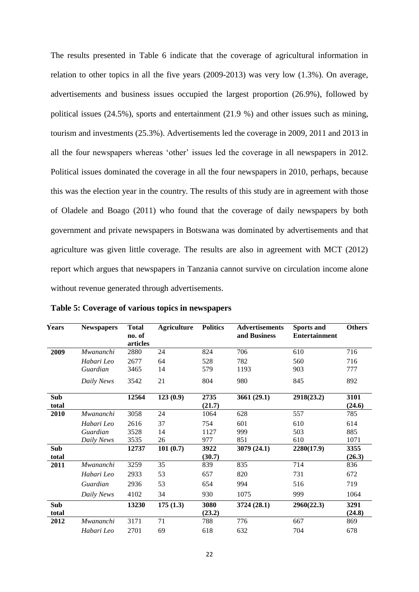The results presented in Table 6 indicate that the coverage of agricultural information in relation to other topics in all the five years (2009-2013) was very low (1.3%). On average, advertisements and business issues occupied the largest proportion (26.9%), followed by political issues (24.5%), sports and entertainment (21.9 %) and other issues such as mining, tourism and investments (25.3%). Advertisements led the coverage in 2009, 2011 and 2013 in all the four newspapers whereas "other" issues led the coverage in all newspapers in 2012. Political issues dominated the coverage in all the four newspapers in 2010, perhaps, because this was the election year in the country. The results of this study are in agreement with those of Oladele and Boago (2011) who found that the coverage of daily newspapers by both government and private newspapers in Botswana was dominated by advertisements and that agriculture was given little coverage. The results are also in agreement with MCT (2012) report which argues that newspapers in Tanzania cannot survive on circulation income alone without revenue generated through advertisements.

| <b>Years</b> | <b>Newspapers</b> | <b>Total</b><br>no. of<br>articles | <b>Agriculture</b> | <b>Politics</b> | <b>Advertisements</b><br>and Business | <b>Sports and</b><br><b>Entertainment</b> | <b>Others</b>  |
|--------------|-------------------|------------------------------------|--------------------|-----------------|---------------------------------------|-------------------------------------------|----------------|
| 2009         | Mwananchi         | 2880                               | 24                 | 824             | 706                                   | 610                                       | 716            |
|              | Habari Leo        | 2677                               | 64                 | 528             | 782                                   | 560                                       | 716            |
|              | Guardian          | 3465                               | 14                 | 579             | 1193                                  | 903                                       | 777            |
|              | Daily News        | 3542                               | 21                 | 804             | 980                                   | 845                                       | 892            |
| Sub<br>total |                   | 12564                              | 123(0.9)           | 2735<br>(21.7)  | 3661 (29.1)                           | 2918(23.2)                                | 3101<br>(24.6) |
| 2010         | Mwananchi         | 3058                               | 24                 | 1064            | 628                                   | 557                                       | 785            |
|              | Habari Leo        | 2616                               | 37                 | 754             | 601                                   | 610                                       | 614            |
|              | Guardian          | 3528                               | 14                 | 1127            | 999                                   | 503                                       | 885            |
|              | Daily News        | 3535                               | 26                 | 977             | 851                                   | 610                                       | 1071           |
| Sub<br>total |                   | 12737                              | 101(0.7)           | 3922<br>(30.7)  | 3079 (24.1)                           | 2280(17.9)                                | 3355<br>(26.3) |
| 2011         | Mwananchi         | 3259                               | 35                 | 839             | 835                                   | 714                                       | 836            |
|              | Habari Leo        | 2933                               | 53                 | 657             | 820                                   | 731                                       | 672            |
|              | Guardian          | 2936                               | 53                 | 654             | 994                                   | 516                                       | 719            |
|              | Daily News        | 4102                               | 34                 | 930             | 1075                                  | 999                                       | 1064           |
| Sub          |                   | 13230                              | 175(1.3)           | 3080            | 3724 (28.1)                           | 2960(22.3)                                | 3291           |
| total        |                   |                                    |                    | (23.2)          |                                       |                                           | (24.8)         |
| 2012         | Mwananchi         | 3171                               | 71                 | 788             | 776                                   | 667                                       | 869            |
|              | Habari Leo        | 2701                               | 69                 | 618             | 632                                   | 704                                       | 678            |

**Table 5: Coverage of various topics in newspapers**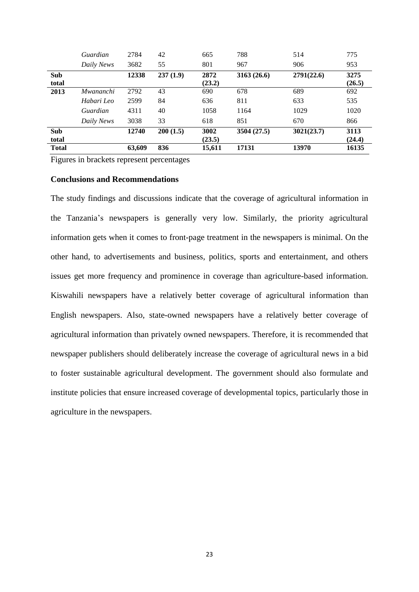|                     | Guardian   | 2784   | 42       | 665            | 788        | 514        | 775            |
|---------------------|------------|--------|----------|----------------|------------|------------|----------------|
|                     | Daily News | 3682   | 55       | 801            | 967        | 906        | 953            |
| <b>Sub</b><br>total |            | 12338  | 237(1.9) | 2872<br>(23.2) | 3163(26.6) | 2791(22.6) | 3275<br>(26.5) |
| 2013                | Mwananchi  | 2792   | 43       | 690            | 678        | 689        | 692            |
|                     | Habari Leo | 2599   | 84       | 636            | 811        | 633        | 535            |
|                     | Guardian   | 4311   | 40       | 1058           | 1164       | 1029       | 1020           |
|                     | Daily News | 3038   | 33       | 618            | 851        | 670        | 866            |
| Sub<br>total        |            | 12740  | 200(1.5) | 3002<br>(23.5) | 3504(27.5) | 3021(23.7) | 3113<br>(24.4) |
| <b>Total</b>        |            | 63,609 | 836      | 15,611         | 17131      | 13970      | 16135          |

Figures in brackets represent percentages

## **Conclusions and Recommendations**

The study findings and discussions indicate that the coverage of agricultural information in the Tanzania"s newspapers is generally very low. Similarly, the priority agricultural information gets when it comes to front-page treatment in the newspapers is minimal. On the other hand, to advertisements and business, politics, sports and entertainment, and others issues get more frequency and prominence in coverage than agriculture-based information. Kiswahili newspapers have a relatively better coverage of agricultural information than English newspapers. Also, state-owned newspapers have a relatively better coverage of agricultural information than privately owned newspapers. Therefore, it is recommended that newspaper publishers should deliberately increase the coverage of agricultural news in a bid to foster sustainable agricultural development. The government should also formulate and institute policies that ensure increased coverage of developmental topics, particularly those in agriculture in the newspapers.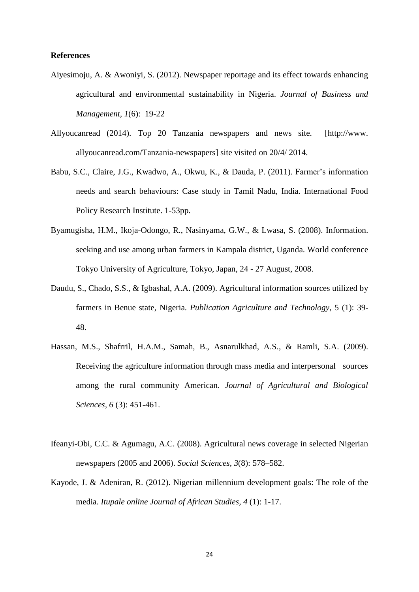## **References**

- Aiyesimoju, A. & Awoniyi, S. (2012). Newspaper reportage and its effect towards enhancing agricultural and environmental sustainability in Nigeria. *Journal of Business and Management, 1*(6): 19-22
- Allyoucanread (2014). Top 20 Tanzania newspapers and news site. [http://www. allyoucanread.com/Tanzania-newspapers] site visited on 20/4/ 2014.
- Babu, S.C., Claire, J.G., Kwadwo, A., Okwu, K., & Dauda, P. (2011). Farmer's information needs and search behaviours: Case study in Tamil Nadu, India. International Food Policy Research Institute. 1-53pp.
- Byamugisha, H.M., Ikoja-Odongo, R., Nasinyama, G.W., & Lwasa, S. (2008). Information. seeking and use among urban farmers in Kampala district, Uganda. World conference Tokyo University of Agriculture, Tokyo, Japan, 24 - 27 August, 2008.
- Daudu, S., Chado, S.S., & Igbashal, A.A. (2009). Agricultural information sources utilized by farmers in Benue state, Nigeria. *Publication Agriculture and Technology,* 5 (1): 39- 48.
- Hassan, M.S., Shafrril, H.A.M., Samah, B., Asnarulkhad, A.S., & Ramli, S.A. (2009). Receiving the agriculture information through mass media and interpersonal sources among the rural community American. *Journal of Agricultural and Biological Sciences, 6* (3): 451-461.
- Ifeanyi-Obi, C.C. & Agumagu, A.C. (2008). Agricultural news coverage in selected Nigerian newspapers (2005 and 2006). *Social Sciences, 3*(8): 578–582.
- Kayode, J. & Adeniran, R. (2012). Nigerian millennium development goals: The role of the media. *Itupale online Journal of African Studies, 4* (1): 1-17.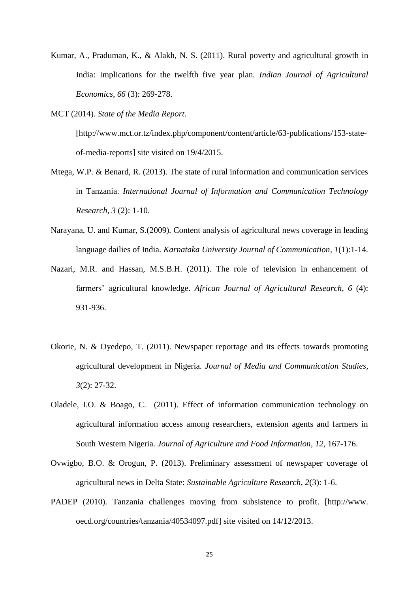- Kumar, A., Praduman, K., & Alakh, N. S. (2011). Rural poverty and agricultural growth in India: Implications for the twelfth five year plan*. Indian Journal of Agricultural Economics, 66* (3): 269-278.
- MCT (2014). *State of the Media Report*.

[http://www.mct.or.tz/index.php/component/content/article/63-publications/153-stateof-media-reports] site visited on 19/4/2015.

- Mtega, W.P. & Benard, R. (2013). The state of rural information and communication services in Tanzania. *International Journal of Information and Communication Technology Research, 3* (2): 1-10.
- Narayana, U. and Kumar, S.(2009)*.* Content analysis of agricultural news coverage in leading language dailies of India. *Karnataka University Journal of Communication, 1*(1):1-14.
- Nazari, M.R. and Hassan, M.S.B.H. (2011). The role of television in enhancement of farmers" agricultural knowledge. *African Journal of Agricultural Research, 6* (4): 931-936.
- Okorie, N. & Oyedepo, T. (2011). Newspaper reportage and its effects towards promoting agricultural development in Nigeria. *Journal of Media and Communication Studies, 3*(2): 27-32.
- Oladele, I.O. & Boago, C. (2011). Effect of information communication technology on agricultural information access among researchers, extension agents and farmers in South Western Nigeria. *Journal of Agriculture and Food Information, 12*, 167-176.
- Ovwigbo, B.O. & Orogun, P. (2013). Preliminary assessment of newspaper coverage of agricultural news in Delta State: *Sustainable Agriculture Research, 2*(3): 1-6.
- PADEP (2010). Tanzania challenges moving from subsistence to profit. [http://www. oecd.org/countries/tanzania/40534097.pdf] site visited on 14/12/2013.